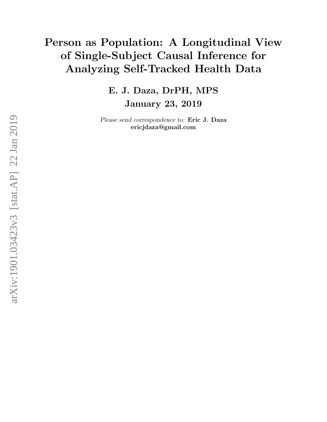# Person as Population: A Longitudinal View of Single-Subject Causal Inference for Analyzing Self-Tracked Health Data

E. J. Daza, DrPH, MPS January 23, 2019

Please send correspondence to: Eric J. Daza ericjdaza@gmail.com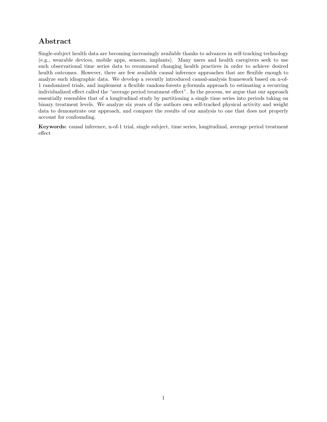# Abstract

Single-subject health data are becoming increasingly available thanks to advances in self-tracking technology (e.g., wearable devices, mobile apps, sensors, implants). Many users and health caregivers seek to use such observational time series data to recommend changing health practices in order to achieve desired health outcomes. However, there are few available causal inference approaches that are flexible enough to analyze such idiographic data. We develop a recently introduced causal-analysis framework based on n-of-1 randomized trials, and implement a flexible random-forests g-formula approach to estimating a recurring individualized effect called the "average period treatment effect". In the process, we argue that our approach essentially resembles that of a longitudinal study by partitioning a single time series into periods taking on binary treatment levels. We analyze six years of the authors own self-tracked physical activity and weight data to demonstrate our approach, and compare the results of our analysis to one that does not properly account for confounding.

Keywords: causal inference, n-of-1 trial, single subject, time series, longitudinal, average period treatment effect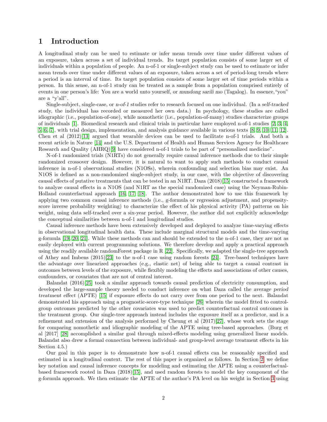# 1 Introduction

A longitudinal study can be used to estimate or infer mean trends over time under different values of an exposure, taken across a set of individual trends. Its target population consists of some larger set of individuals within a population of people. An n-of-1 or single-subject study can be used to estimate or infer mean trends over time under different values of an exposure, taken across a set of period-long trends where a period is an interval of time. Its target population consists of some larger set of time periods within a person. In this sense, an n-of-1 study can be treated as a sample from a population comprised entirely of events in one person's life: You are a world unto yourself, or mundong sarili mo (Tagalog). In essence,"you" are a "y'all".

Single-subject, single-case, or n-of-1 studies refer to research focused on one individual. (In a self-tracked study, the individual has recorded or measured her own data.) In psychology, these studies are called idiographic (i.e., population-of-one), while nomothetic (i.e., population-of-many) studies characterize groups of individuals [\[1\]](#page-11-0). Biomedical research and clinical trials in particular have employed n-of-1 studies [\[2,](#page-11-1) [3,](#page-11-2) [4,](#page-11-3) [5,](#page-12-0) [6,](#page-12-1) [7\]](#page-12-2), with trial design, implementation, and analysis guidance available in various texts [\[8,](#page-12-3) [9,](#page-12-4) [10,](#page-12-5) [11,](#page-12-6) [12\]](#page-12-7). Chen et al (2012)[\[13\]](#page-12-8) argued that wearable devices can be used to facilitate n-of-1 trials. And both a recent article in Nature [\[14\]](#page-12-9) and the U.S. Department of Health and Human Services Agency for Healthcare Research and Quality (AHRQ)[\[9\]](#page-12-4) have considered n-of-1 trials to be part of "personalized medicine".

N-of-1 randomized trials (N1RTs) do not generally require causal inference methods due to their simple randomized crossover design. However, it is natural to want to apply such methods to conduct causal inference in n-of-1 observational studies (N1OSs), wherein confounding and selection bias may exist. An N1OS is defined as a non-randomized single-subject study, in our case, with the objective of discovering causal effects of putative treatments that can be tested in an N1RT. Daza (2018)[\[15\]](#page-12-10) constructed a framework to analyze causal effects in a N1OS (and N1RT as the special randomized case) using the Neyman-Rubin-Holland counterfactual approach [\[16,](#page-12-11) [17,](#page-12-12) [18\]](#page-12-13). The author demonstrated how to use this framework by applying two common causal inference methods (i.e., g-formula or regression adjustment, and propensityscore inverse probability weighting) to characterize the effect of his physical activity (PA) patterns on his weight, using data self-tracked over a six-year period. However, the author did not explicitly acknowledge the conceptual similarities between n-of-1 and longitudinal studies.

Causal inference methods have been extensively developed and deployed to analyze time-varying effects in observational longitudinal health data. These include marginal structural models and the time-varying g-formula [\[19,](#page-12-14) [20,](#page-12-15) [21\]](#page-12-16). While these methods can and should be extended to the n-of-1 case, they are not as easily deployed with current programming solutions. We therefore develop and apply a practical approach using the readily available randomForest package in R [\[22\]](#page-12-17). Specifically, we adapted the single-tree approach of Athey and Imbens (2015)[\[23\]](#page-12-18) to the n-of-1 case using random forests [\[24\]](#page-13-0). Tree-based techniques have the advantage over linearized approaches (e.g., elastic net) of being able to target a causal contrast in outcomes between levels of the exposure, while flexibly modeling the effects and associations of other causes, confounders, or covariates that are not of central interest.

Balandat (2016)[\[25\]](#page-13-1) took a similar approach towards causal prediction of electricity consumption, and developed the large-sample theory needed to conduct inference on what Daza called the average period treatment effect (APTE) [\[15\]](#page-12-10) if exposure effects do not carry over from one period to the next. Balandat demonstrated his approach using a prognostic-score-type technique [\[26\]](#page-13-2) wherein the model fitted to controlgroup outcomes predicted by the other covariates was used to predict counterfactual control outcomes in the treatment group. Our single-tree approach instead includes the exposure itself as a predictor, and is a refinement and extension of the analysis performed by Cheung et al (2017)[\[27\]](#page-13-3), whose work sets the stage for comparing nomothetic and idiographic modeling of the APTE using tree-based approaches. (Burg et al [2017] [\[28\]](#page-13-4) accomplished a similar goal through mixed-effects modeling using generalized linear models. Balandat also drew a formal connection between individual- and group-level average treatment effects in his Section 4.5.)

Our goal in this paper is to demonstrate how n-of-1 causal effects can be reasonably specified and estimated in a longitudinal context. The rest of this paper is organized as follows. In Section [2,](#page-3-0) we define key notation and causal inference concepts for modeling and estimating the APTE using a counterfactualbased framework rooted in Daza (2018)[\[15\]](#page-12-10), and used random forests to model the key component of the g-formula approach. We then estimate the APTE of the author's PA level on his weight in Section [3](#page-8-0) using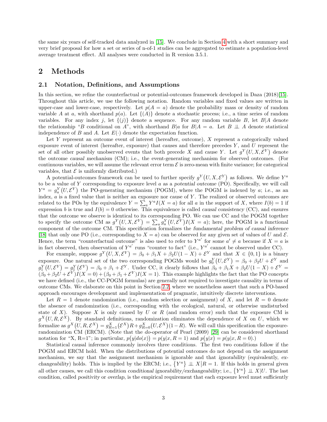the same six years of self-tracked data analyzed in [\[15\]](#page-12-10). We conclude in Section [4](#page-10-0) with a short summary and very brief proposal for how a set or series of n-of-1 studies can be aggregated to estimate a population-level average treatment effect. All analyses were conducted in R version 3.5.1.

## <span id="page-3-0"></span>2 Methods

#### 2.1 Notation, Definitions, and Assumptions

In this section, we refine the counterfactual or potential-outcomes framework developed in Daza (2018)[\[15\]](#page-12-10). Throughout this article, we use the following notation. Random variables and fixed values are written in upper-case and lower-case, respectively. Let  $p(A = a)$  denote the probability mass or density of random variable A at a, with shorthand  $p(a)$ . Let  $\{(A)\}\$  denote a stochastic process; i.e., a time series of random variables. For any index j, let  $\{(j)\}$  denote a sequence. For any random variable B, let  $B|A$  denote the relationship "B conditional on A", with shorthand B|a for  $B|A = a$ . Let B  $\perp \!\!\! \perp A$  denote statistical independence of B and A. Let  $E(\cdot)$  denote the expectation function.

Let Y represent an outcome event of interest (hereafter, outcome), X represent a categorically valued exposure event of interest (hereafter, exposure) that causes and therefore precedes  $Y$ , and  $U$  represent the set of all other possibly unobserved events that both precede X and cause Y. Let  $g^{Y}(U, X, \mathcal{E}^{Y})$  denote the outcome causal mechanism (CM); i.e., the event-generating mechanism for observed outcomes. (For continuous variables, we will assume the relevant error term  $\mathcal E$  is zero-mean with finite variance; for categorical variables, that  $\mathcal E$  is uniformly distributed.)

A potential-outcomes framework can be used to further specify  $g^{Y}(U, X, \mathcal{E}^{Y})$  as follows. We define  $Y^a$ to be a value of Y corresponding to exposure level  $a$  as a potential outcome  $(PO)$ . Specifically, we will call  $Y^a = g_a^Y(U, \mathcal{E}^Y)$  the PO-generating mechanism (POGM), where the POGM is indexed by a; i.e., as an index,  $a$  is a fixed value that is neither an exposure nor cause of  $Y$ . The realized or observed outcomes are related to the POs by the equivalence  $Y = \sum_a Y^a I(X = a)$  for all a in the support of X, where  $I(b) = 1$  if expression b is true and  $I(b) = 0$  otherwise. This equivalence is called causal consistency (CC), and ensures that the outcome we observe is identical to its corresponding PO. We can use CC and the POGM together to specify the outcome CM as  $g^Y(U, X, \mathcal{E}^Y) = \sum_a g_a^Y(U, \mathcal{E}^Y) I(X = a)$ ; here, the POGM is a functional component of the outcome CM. This specification formalizes the fundamental problem of causal inference [\[18\]](#page-12-13) that only one PO (i.e., corresponding to  $X = a$ ) can be observed for any given set of values of U and  $\mathcal{E}$ . Hence, the term "counterfactual outcome" is also used to refer to  $Y^{a'}$  for some  $a' \neq a$  because if  $X = a$  is in fact observed, then observation of  $Y^{a'}$  runs "counter to fact" (i.e.,  $Y^{a'}$  cannot be observed under CC).

For example, suppose  $g^Y(U, X, \mathcal{E}^Y) = \beta_0 + \beta_1 X + \beta_2 U(1 - X) + \mathcal{E}^Y$  and that  $X \in \{0, 1\}$  is a binary exposure. One natural set of the two corresponding POGMs would be  $g_0^Y(U, \mathcal{E}^Y) = \beta_0 + \beta_2 U + \mathcal{E}^Y$  and  $g_1^Y(U, \mathcal{E}^Y) = g_1^Y(\mathcal{E}^Y) = \beta_0 + \beta_1 + \mathcal{E}^Y$ . Under CC, it clearly follows that  $\beta_0 + \beta_1 X + \beta_2 U(1 - X) + \mathcal{E}^Y =$  $(\beta_0 + \beta_2 U + \mathcal{E}^Y)I(X = 0) + (\beta_0 + \beta_1 + \mathcal{E}^Y)I(X = 1)$ . This example highlights the fact that the PO concepts we have defined (i.e., the CC-POGM formulas) are generally not required to investigate causality in terms of outcome CMs. We elaborate on this point in Section [2.2,](#page-4-0) where we nonetheless assert that such a PO-based approach encourages development and implementation of pragmatic, intuitively discrete interventions.

Let  $R = 1$  denote randomization (i.e., random selection or assignment) of X, and let  $R = 0$  denote the absence of randomization (i.e., corresponding with the ecological, natural, or otherwise undisturbed state of  $X$ ). Suppose  $X$  is only caused by  $U$  or  $R$  (and random error) such that the exposure CM is  $g^X(U, R, \mathcal{E}^X)$ . By standard definitions, randomization eliminates the dependence of X on U, which we formalize as  $g^X(U, R, \mathcal{E}^X) = g_{R=1}^X(\mathcal{E}^X)R + g_{R=0}^X(U, \mathcal{E}^X)(1-R)$ . We will call this specification the exposurerandomization CM (ERCM). (Note that the *do-operator* of Pearl (2009) [\[29\]](#page-13-5) can be considered shorthand notation for "X, R=1"; in particular,  $p(y|do(x)) = p(y|x, R = 1)$  and  $p(y|x) = p(y|x, R = 0)$ .

Statistical causal inference commonly involves three conditions. The first two conditions follow if the POGM and ERCM hold. When the distributions of potential outcomes do not depend on the assignment mechanism, we say that the assignment mechanism is ignorable and that ignorability (equivalently, exchangeability) holds. This is implied by the ERCM; i.e.,  $\{Y^a\} \perp X | R = 1$ . If this holds in general given all other causes, we call this condition conditional ignorability/exchangeability; i.e.,  $\{Y^a\} \perp \perp X | U$ . The last condition, called positivity or overlap, is the empirical requirement that each exposure level must sufficiently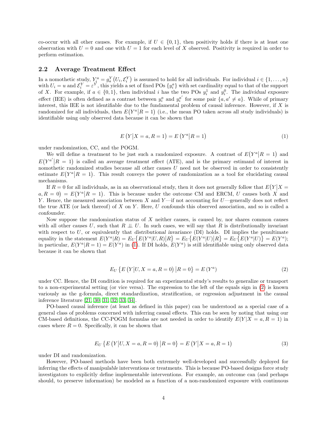co-occur with all other causes. For example, if  $U \in \{0,1\}$ , then positivity holds if there is at least one observation with  $U = 0$  and one with  $U = 1$  for each level of X observed. Positivity is required in order to perform estimation.

#### <span id="page-4-0"></span>2.2 Average Treatment Effect

In a nomothetic study,  $Y_i^a = g_a^Y(U_i, \mathcal{E}_i^Y)$  is assumed to hold for all individuals. For individual  $i \in \{1, ..., n\}$ with  $U_i = u$  and  $\mathcal{E}_i^Y = \varepsilon^Y$ , this yields a set of fixed POs  $\{y_i^a\}$  with set cardinality equal to that of the support of X. For example, if  $a \in \{0,1\}$ , then individual i has the two POs  $y_i^1$  and  $y_i^0$ . The individual exposure effect (IEE) is often defined as a contrast between  $y_i^a$  and  $y_i^{a'}$  for some pair  $\{a, a' \neq a\}$ . While of primary interest, this IEE is not identifiable due to the fundamental problem of causal inference. However, if  $X$  is randomized for all individuals, then  $E(Y^a | R = 1)$  (i.e., the mean PO taken across all study individuals) is identifiable using only observed data because it can be shown that

<span id="page-4-1"></span>
$$
E(Y|X = a, R = 1) = E(Y^{a}|R = 1)
$$
\n(1)

under randomization, CC, and the POGM.

We will define a treatment to be just such a randomized exposure. A contrast of  $E(Y^a | R = 1)$  and  $E(Y^{a'}|R = 1)$  is called an average treatment effect (ATE), and is the primary estimand of interest in nomothetic randomized studies because all other causes  $U$  need not be observed in order to consistently estimate  $E(Y^a | R = 1)$ . This result conveys the power of randomization as a tool for elucidating causal mechanisms.

If  $R = 0$  for all individuals, as in an observational study, then it does not generally follow that  $E(Y|X = 0)$  $(a, R = 0) = E(Y^a | R = 1)$ . This is because under the outcome CM and ERCM, U causes both X and Y. Hence, the measured association between X and Y—if not accounting for  $U$ —generally does not reflect the true ATE (or lack thereof) of  $X$  on  $Y$ . Here,  $U$  confounds this observed association, and so is called a confounder.

Now suppose the randomization status of  $X$  neither causes, is caused by, nor shares common causes with all other causes U, such that R  $\perp\!\!\!\perp U$ . In such cases, we will say that R is distributionally invariant with respect to  $U$ , or equivalently that distributional invariance (DI) holds. DI implies the penultimate equality in the statement  $E(Y^a|R) = E_U\{E(Y^a|U,R)|R\} = E_U\{E(Y^a|U)|R\} = E_U\{E(Y^a|U)\} = E(Y^a;$ in particular,  $E(Y^a|R=1) = E(Y^a)$  in [\(1\)](#page-4-1). If DI holds,  $E(Y^a)$  is still identifiable using only observed data because it can be shown that

<span id="page-4-2"></span>
$$
E_U \{ E(Y|U, X = a, R = 0) | R = 0 \} = E(Y^a)
$$
\n(2)

under CC. Hence, the DI condition is required for an experimental study's results to generalize or transport to a non-experimental setting (or vice versa). The expression to the left of the equals sign in [\(2\)](#page-4-2) is known variously as the g-formula, direct standardization, stratification, or regression adjustment in the causal inference literature [\[21,](#page-12-16) [30,](#page-13-6) [31,](#page-13-7) [32,](#page-13-8) [33,](#page-13-9) [34\]](#page-13-10).

PO-based causal inference (at least as defined in this paper) can be understood as a special case of a general class of problems concerned with inferring causal effects. This can be seen by noting that using our CM-based definitions, the CC-POGM formulas are not needed in order to identify  $E(Y|X = a, R = 1)$  in cases where  $R = 0$ . Specifically, it can be shown that

$$
E_U\{E(Y|U, X=a, R=0) | R=0\} = E(Y|X=a, R=1)
$$
\n(3)

under DI and randomization.

However, PO-based methods have been both extremely well-developed and successfully deployed for inferring the effects of manipulable interventions or treatments. This is because PO-based designs force study investigators to explicitly define implementable interventions. For example, an outcome can (and perhaps should, to preserve information) be modeled as a function of a non-randomized exposure with continuous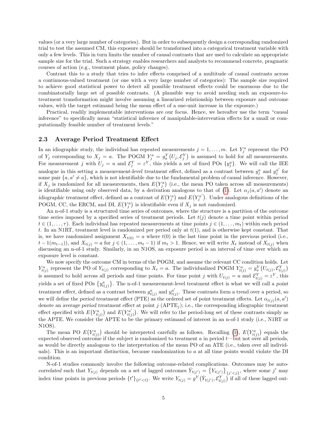values (or a very large number of categories). But in order to subsequently design a corresponding randomized trial to test the assumed CM, this exposure should be transformed into a categorical treatment variable with only a few levels. This in turn limits the number of causal contrasts that are used to calculate an appropriate sample size for the trial. Such a strategy enables researchers and analysts to recommend concrete, pragmatic courses of action (e.g., treatment plans, policy changes).

Contrast this to a study that tries to infer effects comprised of a multitude of causal contrasts across a continuous-valued treatment (or one with a very large number of categories): The sample size required to achieve good statistical power to detect all possible treatment effects could be enormous due to the combinatorially large set of possible contrasts. (A plausible way to avoid needing such an exposure-totreatment transformation might involve assuming a linearized relationship between exposure and outcome values, with the target estimand being the mean effect of a one-unit increase in the exposure.)

Practical, readily implementable interventions are our focus. Hence, we hereafter use the term "causal inference" to specifically mean "statistical inference of manipulable-intervention effects for a small or computationally feasible number of treatment levels."

#### 2.3 Average Period Treatment Effect

In an idiographic study, the individual has repeated measurements  $j = 1, \ldots, m$ . Let  $Y_j^a$  represent the PO of  $Y_j$  corresponding to  $X_j = a$ . The POGM  $Y_j^a = g_a^Y(U_j, \mathcal{E}_j^Y)$  is assumed to hold for all measurements. For measurement j with  $U_j = u$  and  $\mathcal{E}_j^Y = \varepsilon^Y$ , this yields a set of fixed POs  $\{y_j^a\}$ . We will call the IEE analogue in this setting a *measurement-level treatment effect*, defined as a contrast between  $y_j^a$  and  $y_j^{a'}$  for some pair  $\{a, a' \neq a\}$ , which is not identifiable due to the fundamental problem of causal inference. However, if  $X_j$  is randomized for all measurements, then  $E(Y_j^a)$  (i.e., the mean PO taken across all measurements) is identifiable using only observed data, by a derivation analogous to that of [\(1\)](#page-4-1). Let  $\alpha_j(a, a')$  denote an idiographic treatment effect, defined as a contrast of  $E(Y_j^a)$  and  $E(Y_j^{a'})$ . Under analogous definitions of the POGM, CC, the ERCM, and DI,  $E(Y_j^a)$  is identifiable even if  $X_j$  is not randomized.

An n-of-1 study is a structured time series of outcomes, where the structure is a partition of the outcome time series imposed by a specified series of treatment periods. Let  $t(j)$  denote a time point within period  $t \in (1, \ldots, \tau)$ . Each individual has repeated measurements at time points  $j \in (1, \ldots, m_t)$  within each period t. In an N1RT, treatment level is randomized per period only at  $t(1)$ , and is otherwise kept constant. That is, we have randomized assignment  $X_{t(0)} = a$  where  $t(0)$  is the last time point in the previous period (i.e.,  $t-1(m_{t-1}),$  and  $X_{t(j)} = a$  for  $j \in (1, \ldots, m_t-1)$  if  $m_t > 1$ . Hence, we will write  $X_t$  instead of  $X_{t(j)}$  when discussing an n-of-1 study. Similarly, in an N1OS, an exposure period is an interval of time over which an exposure level is constant.

We now specify the outcome CM in terms of the POGM, and assume the relevant CC condition holds. Let  $Y_{t(j)}^a$  represent the PO of  $Y_{t(j)}$  corresponding to  $X_t = a$ . The individualized POGM  $Y_{t(j)}^a = g_a^Y(U_{t(j)}, \mathcal{E}_{t(j)}^Y)$ is assumed to hold across all periods and time points. For time point j with  $U_{t(j)} = u$  and  $\mathcal{E}_{t(j)}^Y = \varepsilon^Y$ , this yields a set of fixed POs  $\{y_{t(j)}^a\}$ . The n-of-1 measurement-level treatment effect is what we will call a point treatment effect, defined as a contrast between  $y_{t(j)}^a$  and  $y_{t(j)}^{a'}$  $t_{(j)}^a$ . These contrasts form a trend over a period, so we will define the period treatment effect (PTE) as the ordered set of point treatment effects. Let  $\alpha_{t(j)}(a, a')$ denote an average period treatment effect at point  $j$  (APTE<sub>j</sub>); i.e., the corresponding idiographic treatment effect specified with  $E(Y_{t(j)}^a)$  and  $E(Y_{t(j)}^{a'}$  $\mathcal{L}^{a'}_{t(j)}$ . We will refer to the period-long set of these contrasts simply as the APTE. We consider the APTE to be the primary estimand of interest in an n-of-1 study (i.e., N1RT or N1OS).

The mean PO  $E(Y_{t(j)}^a)$  should be interpreted carefully as follows. Recalling [\(1\)](#page-4-1),  $E(Y_{t(j)}^a)$  equals the expected observed outcome if the subject is randomized to treatment  $a$  in period  $t$ —but not over all periods, as would be directly analogous to the interpretation of the mean PO of an ATE (i.e., taken over all individuals). This is an important distinction, because randomization to a at all time points would violate the DI condition.

N-of-1 studies commonly involve the following outcome-related complications. Outcomes may be autocorrelated such that  $Y_{t(j)}$  depends on a set of lagged outcomes  $\overline{Y}_{t(j')} = \{Y_{t(j')}\}_{\{j' < j\}}$ , where some j' may index time points in previous periods  $\{t'\}_{\{t' < t\}}$ . We write  $Y_{t(j)} = g^Y(\bar{Y}_{t(j')}, \mathcal{E}_{t(j)}^Y)$  if all of these lagged out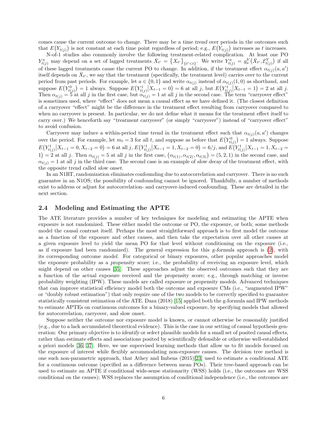comes cause the current outcome to change. There may be a time trend over periods in the outcomes such that  $E(Y_{t(j)})$  is not constant at each time point regardless of period; e.g.,  $E(Y_{t(j)})$  increases as t increases.

N-of-1 studies also commonly involve the following treatment-related complication. At least one PO  $Y_{t(j)}^a$  may depend on a set of lagged treatments  $\bar{X}_{t'} = \{X_{t'}\}_{\{t' < t\}}$ . We write  $Y_{t(j)}^a = g_a^Y(\bar{X}_{t'}, \mathcal{E}_{t(j)}^Y)$  if all of these lagged treatments cause the current PO to change. In addition, if the treatment effect  $\alpha_{t(j)}(a, a')$ itself depends on  $\bar{X}_{t'}$ , we say that the treatment (specifically, the treatment level) carries over to the current period from past periods. For example, let  $a \in \{0,1\}$  and write  $\alpha_{t(j)}$  instead of  $\alpha_{t(j)}(1,0)$  as shorthand, and suppose  $E(Y_{t(j)}^0) = 1$  always. Suppose  $E(Y_{t(j)}^1 | X_{t-1} = 0) = 6$  at all j, but  $E(Y_{t(j)}^1 | X_{t-1} = 1) = 2$  at all j. Then  $\alpha_{t(j)} = 5$  at all j in the first case, but  $\alpha_{t(j)} = 1$  at all j in the second case. The term "carryover effect" is sometimes used, where "effect" does not mean a causal effect as we have defined it. (The closest definition of a carryover "effect" might be the difference in the treatment effect resulting from carryover compared to when no carryover is present. In particular, we do not define what it means for the treatment effect itself to carry over.) We henceforth say "treatment carryover" (or simply "carryover") instead of "carryover effect" to avoid confusion.

Carryover may induce a within-period time trend in the treatment effect such that  $\alpha_{t(j)}(a, a')$  changes over the period. For example, let  $m_t = 3$  for all t, and suppose as before that  $E(Y_{t(j)}^0) = 1$  always. Suppose  $E(Y_{t(j)}^1 | X_{t-1} = 0, X_{t-2} = 0) = 6$  at all j,  $E(Y_{t(j)}^1 | X_{t-1} = 1, X_{t-2} = 0) = 6/j$ , and  $E(Y_{t(j)}^1 | X_{t-1} = 1, X_{t-2} = 0)$ 1) = 2 at all j. Then  $\alpha_{t(j)} = 5$  at all j in the first case,  $(\alpha_{t(1)}, \alpha_{t(2)}, \alpha_{t(3)}) = (5, 2, 1)$  in the second case, and  $\alpha_{t(j)} = 1$  at all j in the third case. The second case is an example of slow decay of the treatment effect, with the opposite trend called slow onset.

In an N1RT, randomization eliminates confounding due to autocorrelation and carryover. There is no such guarantee in an N1OS; the possibility of confounding cannot be ignored. Thankfully, a number of methods exist to address or adjust for autocorrelation- and carryover-induced confounding. These are detailed in the next section.

#### 2.4 Modeling and Estimating the APTE

The ATE literature provides a number of key techniques for modeling and estimating the APTE when exposure is not randomized. These either model the outcome or PO, the exposure, or both; some methods model the causal contrast itself. Perhaps the most straightforward approach is to first model the outcome as a function of the exposure and other causes, and then take the expectation over all other causes at a given exposure level to yield the mean PO for that level without conditioning on the exposure (i.e., as if exposure had been randomized). The general expression for this  $g$ -formula approach is  $(2)$ , with its corresponding outcome model. For categorical or binary exposures, other popular approaches model the exposure probability as a propensity score; i.e., the probability of receiving an exposure level, which might depend on other causes [\[35\]](#page-13-11). These approaches adjust the observed outcomes such that they are a function of the actual exposure received and the propensity score; e.g., through matching or inverse probability weighting (IPW). These models are called exposure or propensity models. Advanced techniques that can improve statistical efficiency model both the outcome and exposure CMs (i.e., "augmented IPW" or "doubly robust estimation") that only require one of the two models to be correctly specified to guarantee statistically consistent estimation of the ATE. Daza (2018) [\[15\]](#page-12-10) applied both the g-formula and IPW methods to estimate APTEs on continuous outcomes for a binary-valued exposure, by specifying models that allowed for autocorrelation, carryover, and slow onset.

Suppose neither the outcome nor exposure model is known, or cannot otherwise be reasonably justified (e.g., due to a lack accumulated theoretical evidence). This is the case in our setting of causal hypothesis generation: Our primary objective is to identify or select plausible models for a small set of posited causal effects, rather than estimate effects and associations posited by scientifically defensible or otherwise well-established a priori models [\[36,](#page-13-12) [37\]](#page-13-13). Here, we use supervised learning methods that allow us to fit models focused on the exposure of interest while flexibly accommodating non-exposure causes. The decision tree method is one such non-parametric approach, that Athey and Imbens (2015)[\[23\]](#page-12-18) used to estimate a conditional ATE for a continuous outcome (specified as a difference between mean POs). Their tree-based approach can be used to estimate an APTE if conditional wide-sense stationarity (WSS) holds (i.e., the outcomes are WSS conditional on the causes); WSS replaces the assumption of conditional independence (i.e., the outcomes are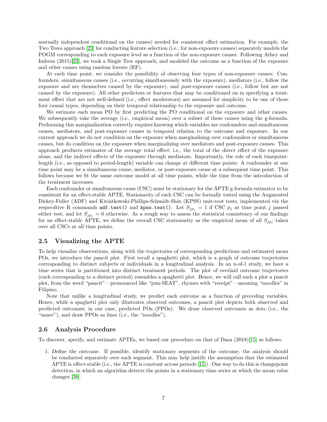mutually independent conditional on the causes) needed for consistent effect estimation. For example, the Two Trees approach [\[23\]](#page-12-18) for conducting feature selection (i.e., for non-exposure causes) separately models the POGM corresponding to each exposure level as a function of the non-exposure causes. Following Athey and Imbens (2015)[\[23\]](#page-12-18), we took a Single Tree approach, and modeled the outcome as a function of the exposure and other causes using random forests (RF).

At each time point, we consider the possibility of observing four types of non-exposure causes: Confounders, simultaneous causes (i.e., occurring simultaneously with the exposure), mediators (i.e., follow the exposure and are themselves caused by the exposure), and post-exposure causes (i.e., follow but are not caused by the exposure). All other predictors or features that may be conditioned on in specifying a treatment effect that are not well-defined (i.e., effect moderators) are assumed for simplicity to be one of these four causal types, depending on their temporal relationship to the exposure and outcome.

We estimate each mean PO by first predicting the PO conditional on the exposure and other causes. We subsequently take the average (i.e., empirical mean) over a subset of these causes using the g-formula. Performing this marginalization correctly requires knowing which variables are confounders and simultaneous causes, mediators, and post-exposure causes in temporal relation to the outcome and exposure. In our current approach we do not condition on the exposure when marginalizing over confounders or simultaneous causes, but do condition on the exposure when marginalizing over mediators and post-exposure causes. This approach produces estimates of the average total effect; i.e., the total of the direct effect of the exposure alone, and the indirect effects of the exposure through mediators. Importantly, the role of each timepointlength (i.e., as opposed to period-length) variable can change at different time points: A confounder at one time point may be a simultaneous cause, mediator, or post-exposure cause at a subsequent time point. This follows because we fit the same outcome model at all time points, while the time from the introduction of the treatment increases.

Each confounder or simultaneous cause (CSC) must be stationary for the APTE g-formula estimator to be consistent for an effect-stable APTE. Stationarity of each CSC can be formally tested using the Augmented Dickey-Fuller (ADF) and Kwiatkowski-Phillips-Schmidt-Shin (KPSS) unit-root tests, implemented via the respecdtive R commands adf.test() and kpss.test(). Let  $S_{jp_j} = 1$  if CSC  $p_j$  at time point j passed either test, and let  $S_{jp_i} = 0$  otherwise. As a rough way to assess the statistical consistency of our findings for an effect-stable APTE, we define the overall CSC stationarity as the empirical mean of all  $S_{jp_j}$  taken over all CSCs at all time points.

#### 2.5 Visualizing the APTE

To help visualize observations, along with the trajectories of corresponding predictions and estimated mean POs, we introduce the pancit plot. First recall a spaghetti plot, which is a graph of outcome trajectories corresponding to distinct subjects or individuals in a longitudinal analysis. In an n-of-1 study, we have a time series that is partitioned into distinct treatment periods. The plot of overlaid outcome trajectories (each corresponding to a distinct period) resembles a spaghetti plot. Hence, we will call such a plot a pancit plot, from the word "pancit"—pronounced like "pun-SEAT", rhymes with "receipt"—meaning "noodles" in Filipino.

Note that unlike a longitudinal study, we predict each outcome as a function of preceding variables. Hence, while a spaghetti plot only illustrates observed outcomes, a pancit plot depicts both observed and predicted outcomes; in our case, predicted POs (PPOs). We draw observed outcomes as dots (i.e., the "sauce"), and draw PPOs as lines (i.e., the "noodles").

#### <span id="page-7-0"></span>2.6 Analysis Procedure

To discover, specify, and estimate APTEs, we based our procedure on that of Daza (2018)[\[15\]](#page-12-10) as follows.

1. Define the outcome. If possible, identify stationary segments of the outcome; the analysis should be conducted separately over each segment. This may help justify the assumption that the estimated APTE is effect-stable (i.e., the APTE is constant across periods [\[15\]](#page-12-10)). One way to do this is changepoint detection, in which an algorithm detects the points in a stationary time series at which the mean value changes [\[38\]](#page-13-14).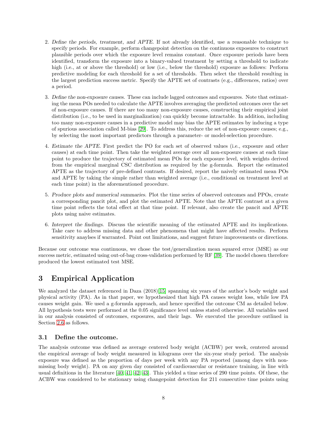- 2. Define the periods, treatment, and APTE. If not already identified, use a reasonable technique to specify periods. For example, perform changepoint detection on the continuous exposures to construct plausible periods over which the exposure level remains constant. Once exposure periods have been identified, transform the exposure into a binary-valued treatment by setting a threshold to indicate high (i.e., at or above the threshold) or low (i.e., below the threshold) exposure as follows: Perform predictive modeling for each threshold for a set of thresholds. Then select the threshold resulting in the largest prediction success metric. Specify the APTE set of contrasts (e.g., differences, ratios) over a period.
- 3. Define the non-exposure causes. These can include lagged outcomes and exposures. Note that estimating the mean POs needed to calculate the APTE involves averaging the predicted outcomes over the set of non-exposure causes. If there are too many non-exposure causes, constructing their empirical joint distribution (i.e., to be used in marginalization) can quickly become intractable. In addition, including too many non-exposure causes in a predictive model may bias the APTE estimates by inducing a type of spurious association called M-bias [\[29\]](#page-13-5). To address this, reduce the set of non-exposure causes; e.g., by selecting the most important predictors through a parameter- or model-selection procedure.
- 4. Estimate the APTE. First predict the PO for each set of observed values (i.e., exposure and other causes) at each time point. Then take the weighted average over all non-exposure causes at each time point to produce the trajectory of estimated mean POs for each exposure level, with weights derived from the empirical marginal CSC distribution as required by the g-formula. Report the estimated APTE as the trajectory of pre-defined contrasts. If desired, report the naively estimated mean POs and APTE by taking the simple rather than weighted average (i.e., conditional on treatment level at each time point) in the aforementioned procedure.
- 5. Produce plots and numerical summaries. Plot the time series of observed outcomes and PPOs, create a corresponding pancit plot, and plot the estimated APTE. Note that the APTE contrast at a given time point reflects the total effect at that time point. If relevant, also create the pancit and APTE plots using naive estimates.
- 6. Interpret the findings. Discuss the scientific meaning of the estimated APTE and its implications. Take care to address missing data and other phenomena that might have affected results. Perform sensitivity anaylses if warranted. Point out limitations, and suggest future improvements or directions.

Because our outcome was continuous, we chose the test/generalization mean squared error (MSE) as our success metric, estimated using out-of-bag cross-validation performed by RF [\[39\]](#page-13-15). The model chosen therefore produced the lowest estimated test MSE.

# <span id="page-8-0"></span>3 Empirical Application

We analyzed the dataset referenced in Daza  $(2018)[15]$  $(2018)[15]$  spanning six years of the author's body weight and physical activity (PA). As in that paper, we hypothesized that high PA causes weight loss, while low PA causes weight gain. We used a g-formula approach, and hence specified the outcome CM as detailed below. All hypothesis tests were performed at the 0.05 significance level unless stated otherwise. All variables used in our analysis consisted of outcomes, exposures, and their lags. We executed the procedure outlined in Section [2.6](#page-7-0) as follows.

### 3.1 Define the outcome.

The analysis outcome was defined as average centered body weight (ACBW) per week, centered around the empirical average of body weight measured in kilograms over the six-year study period. The analysis exposure was defined as the proportion of days per week with any PA reported (among days with nonmissing body weight). PA on any given day consisted of cardiovascular or resistance training, in line with usual definitions in the literature [\[40,](#page-13-16) [41,](#page-13-17) [42,](#page-13-18) [43\]](#page-14-0). This yielded a time series of 290 time points. Of these, the ACBW was considered to be stationary using changepoint detection for 211 consecutive time points using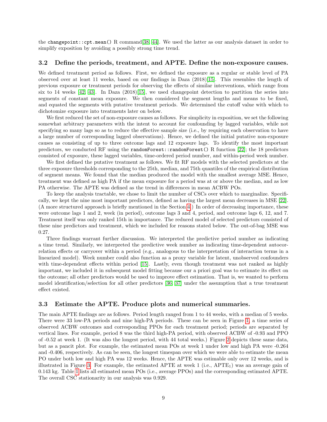the changepoint::cpt.mean() R command[\[38,](#page-13-14) [44\]](#page-14-1). We used the latter as our analysis dataset in order to simplify exposition by avoiding a possibly strong time trend.

#### 3.2 Define the periods, treatment, and APTE. Define the non-exposure causes.

We defined treatment period as follows. First, we defined the exposure as a regular or stable level of PA observed over at least 11 weeks, based on our findings in Daza (2018)[\[15\]](#page-12-10). This resembles the length of previous exposure or treatment periods for observing the effects of similar interventions, which range from six to 14 weeks  $[42, 43]$  $[42, 43]$ . In Daza  $(2018)[15]$  $(2018)[15]$ , we used changepoint detection to partition the series into segments of constant mean exposure. We then considered the segment lengths and means to be fixed, and equated the segments with putative treatment periods. We determined the cutoff value with which to dichotomize exposure into treatments later on below.

We first reduced the set of non-exposure causes as follows. For simplicity in exposition, we set the following somewhat arbitrary parameters with the intent to account for confounding by lagged variables, while not specifying so many lags so as to reduce the effective sample size (i.e., by requiring each observation to have a large number of corresponding lagged observations). Hence, we defined the initial putative non-exposure causes as consisting of up to three outcome lags and 12 exposure lags. To identify the most important predictors, we conducted RF using the randomForest::randomForest() R function [\[22\]](#page-12-17); the 18 predictors consisted of exposure, these lagged variables, time-ordered period number, and within-period week number.

We first defined the putative treatment as follows. We fit RF models with the selected predictors at the three exposure thresholds corresponding to the 25th, median, and 75th quantiles of the empirical distribution of segment means. We found that the median produced the model with the smallest average MSE. Hence, treatment was defined as high PA if the mean exposure for a period was at or above the median, and as low PA otherwise. The APTE was defined as the trend in differences in mean ACBW POs.

To keep the analysis tractable, we chose to limit the number of CSCs over which to marginalize. Specifically, we kept the nine most important predictors, defined as having the largest mean decreases in MSE [\[22\]](#page-12-17). (A more structured approach is briefly mentioned in the Section [4.](#page-10-0)) In order of decreasing importance, these were outcome lags 1 and 2, week (in period), outcome lags 3 and 4, period, and outcome lags 6, 12, and 7. Treatment itself was only ranked 15th in importance. The reduced model of selected predictors consisted of these nine predictors and treatment, which we included for reasons stated below. The out-of-bag MSE was 0.27.

Three findings warrant further discussion. We interpreted the predictive period number as indicating a time trend. Similarly, we interpreted the predictive week number as indicating time-dependent autocorrelation effects or carryover within a period (e.g., analogous to the interpretation of interaction terms in a linearized model). Week number could also function as a proxy variable for latent, unobserved confounders with time-dependent effects within period [\[15\]](#page-12-10). Lastly, even though treatment was not ranked as highly important, we included it in subsequent model fitting because our a priori goal was to estimate its effect on the outcome; all other predictors would be used to improve effect estimation. That is, we wanted to perform model identification/selection for all other predictors [\[36,](#page-13-12) [37\]](#page-13-13) under the assumption that a true treatment effect existed.

#### 3.3 Estimate the APTE. Produce plots and numerical summaries.

The main APTE findings are as follows. Period length ranged from 1 to 44 weeks, with a median of 5 weeks. There were 33 low-PA periods and nine high-PA periods. These can be seen in Figure [1,](#page-15-0) a time series of observed ACBW outcomes and corresponding PPOs for each treatment period; periods are separated by vertical lines. For example, period 8 was the third high-PA period, with observed ACBW of -0.93 and PPO of -0.52 at week 1. (It was also the longest period, with 44 total weeks.) Figure [2](#page-15-1) depicts these same data, but as a pancit plot. For example, the estimated mean POs at week 1 under low and high PA were -0.264 and -0.406, respectively. As can be seen, the longest timespan over which we were able to estimate the mean PO under both low and high PA was 12 weeks. Hence, the APTE was estimable only over 12 weeks, and is illustrated in Figure [3.](#page-16-0) For example, the estimated APTE at week  $1$  (i.e.,  $APTE<sub>1</sub>$ ) was an average gain of 0.143 kg. Table [1](#page-17-0) lists all estimated mean POs (i.e., average PPOs) and the corresponding estimated APTE. The overall CSC stationarity in our analysis was 0.929.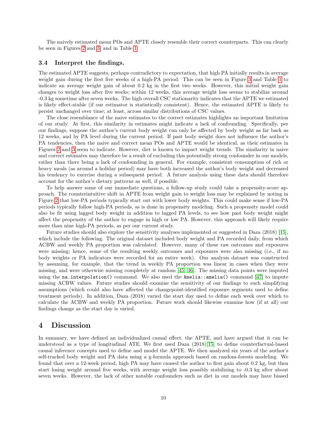The naively estimated mean POs and APTE closely resemble their correct counterparts. This can clearly be seen in Figures [2](#page-15-1) and [3,](#page-16-0) and in Table [1.](#page-17-0)

#### 3.4 Interpret the findings.

The estimated APTE suggests, perhaps contradictory to expectation, that high PA initially results in average weight gain during the first five weeks of a high-PA period. This can be seen in Figure [3](#page-16-0) and Table [1](#page-17-0) to indicate an average weight gain of about 0.2 kg in the first two weeks. However, this initial weight gain changes to weight loss after five weeks; within 12 weeks, this average weight loss seems to stabilize around -0.3 kg sometime after seven weeks. The high overall CSC stationarity indicates that the APTE we estimated is likely effect-stable (if our estimator is statistically consistent). Hence, the estimated APTE is likely to persist unchanged over time; at least, across similar distributions of CSC values.

The close resemblance of the naive estimates to the correct estimates highlights an important limitation of our study. At first, this similarity in estimates might indicate a lack of confounding. Specifically, per our findings, suppose the author's current body weight can only be affected by body weight as far back as 12 weeks, and by PA level during the current period. If past body weight does not influence the author's PA tendencies, then the naive and correct mean POs and APTE would be identical, as their estimates in Figures [2](#page-15-1) and [3](#page-16-0) seem to indicate. However, diet is known to impact weight trends. The similarity in naive and correct estimates may therefore be a result of excluding this potentially strong confounder in our models, rather than there being a lack of confounding in general. For example, consistent consumption of rich or heavy meals (as around a holiday period) may have both increased the author's body weight and decreased his tendency to exercise during a subsequent period. A future analysis using these data should therefore account for the author's dietary patterns as well, if possible.

To help answer some of our immediate questions, a follow-up study could take a propensity-score approach. The counterintuitive shift in APTE from weight gain to weight loss may be explained by noting in Figure [2](#page-15-1) that low-PA periods typically start out with lower body weights. This could make sense if low-PA periods typically follow high-PA periods, as is done in propensity modeling. Such a propensity model could also be fit using lagged body weight in addition to lagged PA levels, to see how past body weight might affect the propensity of the author to engage in high or low PA. However, this approach will likely require more than nine high-PA periods, as per our current study.

Future studies should also explore the sensitivity analyses implemented or suggested in Daza (2018) [\[15\]](#page-12-10), which include the following. The original dataset included body weight and PA recorded daily, from which ACBW and weekly PA proportion was calculated. However, many of these raw outcomes and exposures were missing; hence, some of the resulting weekly outcomes and exposures were also missing (i.e., if no body weights or PA indicators were recorded for an entire week). Our analysis dataset was constructed by assuming, for example, that the trend in weekly PA proportion was linear in cases when they were missing, and were otherwise missing completely at random [\[45,](#page-14-2) [46\]](#page-14-3). The missing data points were imputed using the na.interpolation() command. We also used the  $\text{Amelia::amelia}$ () command [\[47\]](#page-14-4) to impute missing ACBW values. Future studies should examine the sensitivity of our findings to such simplifying assumptions (which could also have affected the changepoint-identified exposure segments used to define treatment periods). In addition, Daza (2018) varied the start day used to define each week over which to calculate the ACBW and weekly PA proportion. Future work should likewise examine how (if at all) our findings change as the start day is varied.

## <span id="page-10-0"></span>4 Discussion

In summary, we have defined an individualized causal effect, the APTE, and have argued that it can be understood as a type of longitudinal ATE. We first used  $Daza$  (2018)[\[15\]](#page-12-10) to define counterfactual-based causal inference concepts used to define and model the APTE. We then analyzed six years of the author's self-tracked body weight and PA data using a g-formula approach based on random-forests modeling. We found that over a 12-week period, high PA may have caused the author to first gain about 0.2 kg, but then start losing weight around five weeks, with average weight loss possibly stabilizing to -0.3 kg after about seven weeks. However, the lack of other notable confounders such as diet in our models may have biased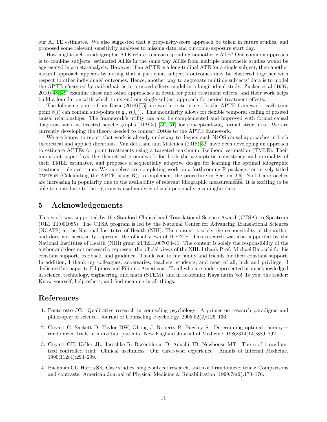our APTE estimates. We also suggested that a propensity-score approach be taken in future studies, and proposed some relevant sensitivity analyses to missing data and outcome/exposure start day.

How might such an idiographic ATE relate to a corresponding nomothetic ATE? One common approach is to combine subjects' estimated ATEs in the same way ATEs from multiple nomothetic studies would be aggregated in a meta-analysis. However, if an APTE is a longitudinal ATE for a single subject, then another natural approach appears by noting that a particular subject's outcomes may be clustered together with respect to other individuals' outcomes. Hence, another way to aggregate multiple subjects' data is to model the APTE clustered by individual, as in a mixed-effects model in a longitudinal study. Zucker et al (1997, 2010)[\[48,](#page-14-5) [49\]](#page-14-6) examine these and other approaches in detail for point treatment effects, and their work helps build a foundation with which to extend our single-subject approach for period treatment effects.

The following points from Daza (2018)[\[15\]](#page-12-10) are worth re-iterating. In the APTE framework, each time point  $t(j)$  can contain sub-points (e.g.,  $t(j_k)$ ). This modularity allows for flexible temporal scaling of posited causal relationships. The framework's utility can also be complemented and improved with formal causal diagrams such as directed acyclic graphs (DAGs) [\[50,](#page-14-7) [51\]](#page-14-8) for conceptualizing formal structures. We are currently developing the theory needed to connect DAGs to the APTE framework.

We are happy to report that work is already underway to deepen such N1OS causal approaches in both theoretical and applied directions. Van der Laan and Malenica (2018)[\[52\]](#page-14-9) have been developing an approach to estimate APTEs for point treatments using a targeted maximum likelihood estimation (TMLE). Their important paper lays the theoretical groundwork for both the asymptotic consistency and normality of their TMLE estimator, and proposes a sequentially adaptive design for learning the optimal idiographic treatment rule over time. We ourselves are completing work on a forthcoming R package, tentatively titled CAPTEuR (Calculating the APTE using R), to implement the procedure in Section [2.6.](#page-7-0) N-of-1 approaches are increasing in popularity due to the availability of relevant idiographic measurements. It is exciting to be able to contribute to the rigorous causal analysis of such personally meaningful data.

## 5 Acknowledgements

This work was supported by the Stanford Clinical and Translational Science Award (CTSA) to Spectrum (UL1 TR001085). The CTSA program is led by the National Center for Advancing Translational Sciences (NCATS) at the National Institutes of Health (NIH). The content is solely the responsibility of the author and does not necessarily represent the official views of the NIH. This research was also supported by the National Institutes of Health (NIH) grant 2T32HL007034-41. The content is solely the responsibility of the author and does not necessarily represent the official views of the NIH. I thank Prof. Michael Baiocchi for his constant support, feedback, and guidance. Thank you to my family and friends for their constant support. In addition, I thank my colleagues, adversaries, teachers, students, and most of all, luck and privilege. I dedicate this paper to Filipinos and Filipino-Americans. To all who are underrepresented or unacknowledged in science, technology, engineering, and math (STEM), and in academia: Kaya natin 'to! To you, the reader: Know yourself, help others, and find meaning in all things.

# References

- <span id="page-11-0"></span>1. Ponterotto JG. Qualitative research in counseling psychology: A primer on research paradigms and philosophy of science. Journal of Counseling Psychology. 2005;52(2):126–136.
- <span id="page-11-1"></span>2. Guyatt G, Sackett D, Taylor DW, Ghong J, Roberts R, Pugsley S. Determining optimal therapy randomized trials in individual patients. New England Journal of Medicine. 1986;314(14):889–892.
- <span id="page-11-2"></span>3. Guyatt GH, Keller JL, Jaeschke R, Rosenbloom D, Adachi JD, Newhouse MT. The n-of-1 randomized controlled trial: Clinical usefulness: Our three-year experience. Annals of Internal Medicine. 1990;112(4):293–299.
- <span id="page-11-3"></span>4. Backman CL, Harris SR. Case studies, single-subject research, and n of 1 randomized trials: Comparisons and contrasts. American Journal of Physical Medicine & Rehabilitation. 1999;78(2):170–176.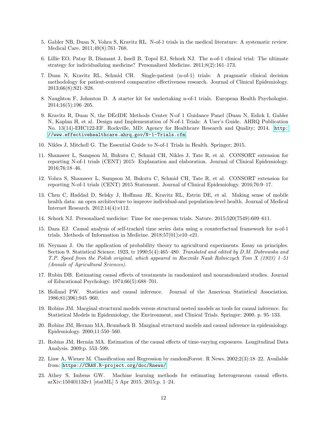- <span id="page-12-0"></span>5. Gabler NB, Duan N, Vohra S, Kravitz RL. N-of-1 trials in the medical literature: A systematic review. Medical Care. 2011;49(8):761–768.
- <span id="page-12-1"></span>6. Lillie EO, Patay B, Diamant J, Issell B, Topol EJ, Schork NJ. The n-of-1 clinical trial: The ultimate strategy for individualizing medicine? Personalized Medicine. 2011;8(2):161–173.
- <span id="page-12-2"></span>7. Duan N, Kravitz RL, Schmid CH. Single-patient (n-of-1) trials: A pragmatic clinical decision methodology for patient-centered comparative effectiveness research. Journal of Clinical Epidemiology. 2013;66(8):S21–S28.
- <span id="page-12-3"></span>8. Naughton F, Johnston D. A starter kit for undertaking n-of-1 trials. European Health Psychologist. 2014;16(5):196–205.
- <span id="page-12-4"></span>9. Kravitz R, Duan N, the DEcIDE Methods Center N-of 1 Guidance Panel (Duan N, Eslick I, Gabler N, Kaplan H, et al. Design and Implementation of N-of-1 Trials: A User's Guide. AHRQ Publication No. 13(14)-EHC122-EF. Rockville, MD: Agency for Healthcare Research and Quality; 2014. [http:](http://www.effectivehealthcare.ahrq.gov/N-1-Trials.cfm) [//www.effectivehealthcare.ahrq.gov/N-1-Trials.cfm](http://www.effectivehealthcare.ahrq.gov/N-1-Trials.cfm).
- <span id="page-12-5"></span>10. Nikles J, Mitchell G. The Essential Guide to N-of-1 Trials in Health. Springer; 2015.
- <span id="page-12-6"></span>11. Shamseer L, Sampson M, Bukutu C, Schmid CH, Nikles J, Tate R, et al. CONSORT extension for reporting N-of-1 trials (CENT) 2015: Explanation and elaboration. Journal of Clinical Epidemiology. 2016;76:18–46.
- <span id="page-12-7"></span>12. Vohra S, Shamseer L, Sampson M, Bukutu C, Schmid CH, Tate R, et al. CONSORT extension for reporting N-of-1 trials (CENT) 2015 Statement. Journal of Clinical Epidemiology. 2016;76:9–17.
- <span id="page-12-8"></span>13. Chen C, Haddad D, Selsky J, Hoffman JE, Kravitz RL, Estrin DE, et al. Making sense of mobile health data: an open architecture to improve individual-and population-level health. Journal of Medical Internet Research. 2012;14(4):e112.
- <span id="page-12-9"></span>14. Schork NJ. Personalized medicine: Time for one-person trials. Nature. 2015;520(7549):609–611.
- <span id="page-12-10"></span>15. Daza EJ. Causal analysis of self-tracked time series data using a counterfactual framework for n-of-1 trials. Methods of Information in Medicine. 2018;57(01):e10–e21.
- <span id="page-12-11"></span>16. Neyman J. On the application of probability theory to agricultural experiments. Essay on principles. Section 9. Statistical Science. 1923, tr 1990;5(4):465–480. Translated and edited by D.M. Dabrowska and T.P. Speed from the Polish original, which appeared in Roczniki Nauk Rolniczych Tom X (1923) 1–51 (Annals of Agricultural Sciences).
- <span id="page-12-12"></span>17. Rubin DB. Estimating causal effects of treatments in randomized and nonrandomized studies. Journal of Educational Psychology. 1974;66(5):688–701.
- <span id="page-12-13"></span>18. Holland PW. Statistics and causal inference. Journal of the American Statistical Association. 1986;81(396):945–960.
- <span id="page-12-14"></span>19. Robins JM. Marginal structural models versus structural nested models as tools for causal inference. In: Statistical Models in Epidemiology, the Environment, and Clinical Trials. Springer; 2000. p. 95–133.
- <span id="page-12-15"></span>20. Robins JM, Hernan MA, Brumback B. Marginal structural models and causal inference in epidemiology. Epidemiology. 2000;11:550–560.
- <span id="page-12-16"></span>21. Robins JM, Hern´an MA. Estimation of the causal effects of time-varying exposures. Longitudinal Data Analysis. 2009;p. 553–599.
- <span id="page-12-17"></span>22. Liaw A, Wiener M. Classification and Regression by randomForest. R News. 2002;2(3):18–22. Available from: <https://CRAN.R-project.org/doc/Rnews/>.
- <span id="page-12-18"></span>23. Athey S, Imbens GW. Machine learning methods for estimating heterogeneous causal effects. arXiv:150401132v1 [statML] 5 Apr 2015. 2015;p. 1–24.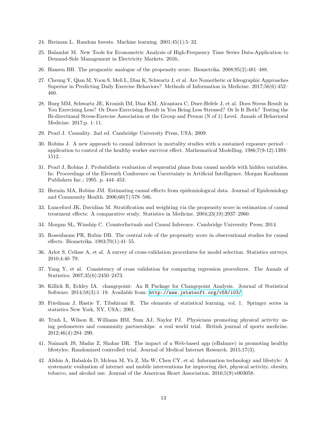- <span id="page-13-0"></span>24. Breiman L. Random forests. Machine learning. 2001;45(1):5–32.
- <span id="page-13-1"></span>25. Balandat M. New Tools for Econometric Analysis of High-Frequency Time Series Data-Application to Demand-Side Management in Electricity Markets. 2016;.
- <span id="page-13-2"></span>26. Hansen BB. The prognostic analogue of the propensity score. Biometrika. 2008;95(2):481–488.
- <span id="page-13-3"></span>27. Cheung Y, Qian M, Yoon S, Meli L, Diaz K, Schwartz J, et al. Are Nomothetic or Ideographic Approaches Superior in Predicting Daily Exercise Behaviors? Methods of Information in Medicine. 2017;56(6):452– 460.
- <span id="page-13-4"></span>28. Burg MM, Schwartz JE, Kronish IM, Diaz KM, Alcantara C, Duer-Hefele J, et al. Does Stress Result in You Exercising Less? Or Does Exercising Result in You Being Less Stressed? Or Is It Both? Testing the Bi-directional Stress-Exercise Association at the Group and Person (N of 1) Level. Annals of Behavioral Medicine. 2017;p. 1–11.
- <span id="page-13-5"></span>29. Pearl J. Causality. 2nd ed. Cambridge University Press, USA; 2009.
- <span id="page-13-6"></span>30. Robins J. A new approach to causal inference in mortality studies with a sustained exposure period application to control of the healthy worker survivor effect. Mathematical Modelling. 1986;7(9-12):1393– 1512.
- <span id="page-13-7"></span>31. Pearl J, Robins J. Probabilistic evaluation of sequential plans from causal models with hidden variables. In: Proceedings of the Eleventh Conference on Uncertainty in Artificial Intelligence. Morgan Kaufmann Publishers Inc.; 1995. p. 444–453.
- <span id="page-13-8"></span>32. Hernán MA, Robins JM. Estimating causal effects from epidemiological data. Journal of Epidemiology and Community Health. 2006;60(7):578–586.
- <span id="page-13-9"></span>33. Lunceford JK, Davidian M. Stratification and weighting via the propensity score in estimation of causal treatment effects: A comparative study. Statistics in Medicine. 2004;23(19):2937–2960.
- <span id="page-13-10"></span>34. Morgan SL, Winship C. Counterfactuals and Causal Inference. Cambridge University Press; 2014.
- <span id="page-13-11"></span>35. Rosenbaum PR, Rubin DB. The central role of the propensity score in observational studies for causal effects. Biometrika. 1983;70(1):41–55.
- <span id="page-13-12"></span>36. Arlot S, Celisse A, et al. A survey of cross-validation procedures for model selection. Statistics surveys. 2010;4:40–79.
- <span id="page-13-13"></span>37. Yang Y, et al. Consistency of cross validation for comparing regression procedures. The Annals of Statistics. 2007;35(6):2450–2473.
- <span id="page-13-14"></span>38. Killick R, Eckley IA. changepoint: An R Package for Changepoint Analysis. Journal of Statistical Software. 2014;58(3):1–19. Available from: <http://www.jstatsoft.org/v58/i03/>.
- <span id="page-13-15"></span>39. Friedman J, Hastie T, Tibshirani R. The elements of statistical learning. vol. 1. Springer series in statistics New York, NY, USA:; 2001.
- <span id="page-13-16"></span>40. Trinh L, Wilson R, Williams HM, Sum AJ, Naylor PJ. Physicians promoting physical activity using pedometers and community partnerships: a real world trial. British journal of sports medicine. 2012;46(4):284–290.
- <span id="page-13-17"></span>41. Naimark JS, Madar Z, Shahar DR. The impact of a Web-based app (eBalance) in promoting healthy lifestyles: Randomized controlled trial. Journal of Medical Internet Research. 2015;17(3).
- <span id="page-13-18"></span>42. Afshin A, Babalola D, Mclean M, Yu Z, Ma W, Chen CY, et al. Information technology and lifestyle: A systematic evaluation of internet and mobile interventions for improving diet, physical activity, obesity, tobacco, and alcohol use. Journal of the American Heart Association. 2016;5(9):e003058.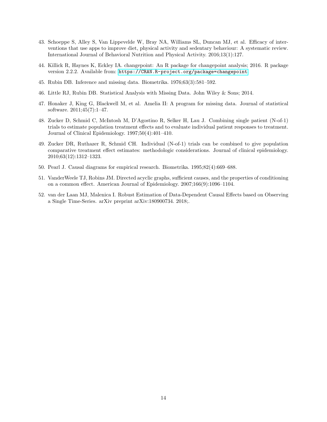- <span id="page-14-0"></span>43. Schoeppe S, Alley S, Van Lippevelde W, Bray NA, Williams SL, Duncan MJ, et al. Efficacy of interventions that use apps to improve diet, physical activity and sedentary behaviour: A systematic review. International Journal of Behavioral Nutrition and Physical Activity. 2016;13(1):127.
- <span id="page-14-1"></span>44. Killick R, Haynes K, Eckley IA. changepoint: An R package for changepoint analysis; 2016. R package version 2.2.2. Available from: <https://CRAN.R-project.org/package=changepoint>.
- <span id="page-14-2"></span>45. Rubin DB. Inference and missing data. Biometrika. 1976;63(3):581–592.
- <span id="page-14-3"></span>46. Little RJ, Rubin DB. Statistical Analysis with Missing Data. John Wiley & Sons; 2014.
- <span id="page-14-4"></span>47. Honaker J, King G, Blackwell M, et al. Amelia II: A program for missing data. Journal of statistical software. 2011;45(7):1–47.
- <span id="page-14-5"></span>48. Zucker D, Schmid C, McIntosh M, D'Agostino R, Selker H, Lau J. Combining single patient (N-of-1) trials to estimate population treatment effects and to evaluate individual patient responses to treatment. Journal of Clinical Epidemiology. 1997;50(4):401–410.
- <span id="page-14-6"></span>49. Zucker DR, Ruthazer R, Schmid CH. Individual (N-of-1) trials can be combined to give population comparative treatment effect estimates: methodologic considerations. Journal of clinical epidemiology. 2010;63(12):1312–1323.
- <span id="page-14-7"></span>50. Pearl J. Causal diagrams for empirical research. Biometrika. 1995;82(4):669–688.
- <span id="page-14-8"></span>51. VanderWeele TJ, Robins JM. Directed acyclic graphs, sufficient causes, and the properties of conditioning on a common effect. American Journal of Epidemiology. 2007;166(9):1096–1104.
- <span id="page-14-9"></span>52. van der Laan MJ, Malenica I. Robust Estimation of Data-Dependent Causal Effects based on Observing a Single Time-Series. arXiv preprint arXiv:180900734. 2018;.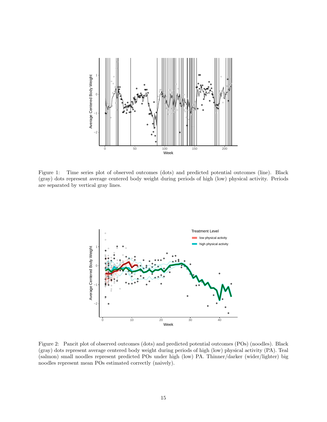

<span id="page-15-0"></span>Figure 1: Time series plot of observed outcomes (dots) and predicted potential outcomes (line). Black (gray) dots represent average centered body weight during periods of high (low) physical activity. Periods are separated by vertical gray lines.



<span id="page-15-1"></span>Figure 2: Pancit plot of observed outcomes (dots) and predicted potential outcomes (POs) (noodles). Black (gray) dots represent average centered body weight during periods of high (low) physical activity (PA). Teal (salmon) small noodles represent predicted POs under high (low) PA. Thinner/darker (wider/lighter) big noodles represent mean POs estimated correctly (naively).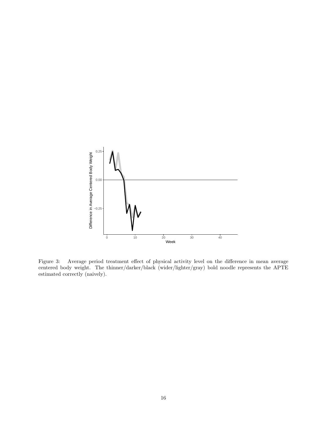

<span id="page-16-0"></span>Figure 3: Average period treatment effect of physical activity level on the difference in mean average centered body weight. The thinner/darker/black (wider/lighter/gray) bold noodle represents the APTE estimated correctly (naively).